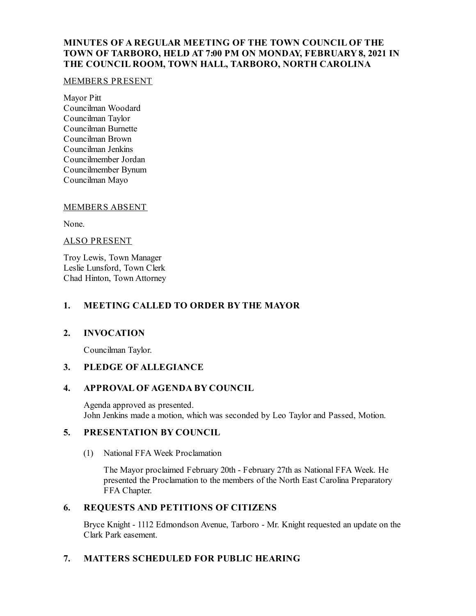## **MINUTES OF A REGULAR MEETING OF THE TOWN COUNCIL OF THE TOWN OF TARBORO, HELD AT 7:00 PM ON MONDAY, FEBRUARY8, 2021 IN THE COUNCIL ROOM, TOWN HALL, TARBORO, NORTH CAROLINA**

### MEMBERS PRESENT

Mayor Pitt Councilman Woodard Councilman Taylor Councilman Burnette Councilman Brown Councilman Jenkins Councilmember Jordan Councilmember Bynum Councilman Mayo

### MEMBERS ABSENT

None.

### ALSO PRESENT

Troy Lewis, Town Manager Leslie Lunsford, Town Clerk Chad Hinton, Town Attorney

### **1. MEETING CALLED TO ORDER BY THE MAYOR**

### **2. INVOCATION**

Councilman Taylor.

### **3. PLEDGE OF ALLEGIANCE**

### **4. APPROVAL OF AGENDA BY COUNCIL**

Agenda approved as presented. John Jenkins made a motion, which was seconded by Leo Taylor and Passed, Motion.

### **5. PRESENTATION BY COUNCIL**

(1) National FFA Week Proclamation

The Mayor proclaimed February 20th - February 27th as National FFA Week. He presented the Proclamation to the members of the North East Carolina Preparatory FFA Chapter.

### **6. REQUESTS AND PETITIONS OF CITIZENS**

Bryce Knight - 1112 Edmondson Avenue, Tarboro - Mr. Knight requested an update on the Clark Park easement.

## **7. MATTERS SCHEDULED FOR PUBLIC HEARING**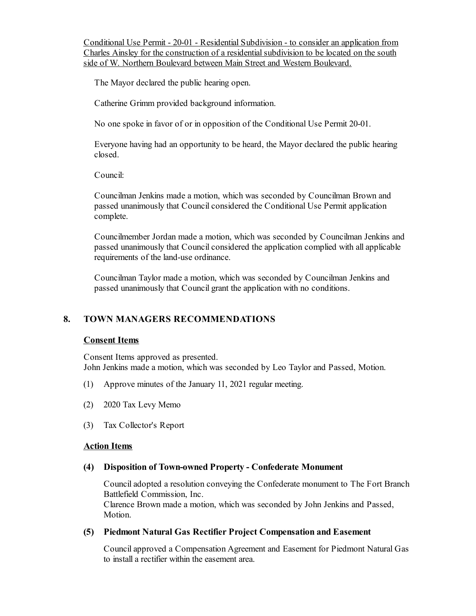Conditional Use Permit - 20-01 - Residential Subdivision - to consider an application from Charles Ainsley for the construction of a residential subdivision to be located on the south side of W. Northern Boulevard between Main Street and Western Boulevard.

The Mayor declared the public hearing open.

Catherine Grimm provided background information.

No one spoke in favor of or in opposition of the Conditional Use Permit 20-01.

Everyone having had an opportunity to be heard, the Mayor declared the public hearing closed.

Council:

Councilman Jenkins made a motion, which was seconded by Councilman Brown and passed unanimously that Council considered the Conditional Use Permit application complete.

Councilmember Jordan made a motion, which was seconded by Councilman Jenkins and passed unanimously that Council considered the application complied with all applicable requirements of the land-use ordinance.

Councilman Taylor made a motion, which was seconded by Councilman Jenkins and passed unanimously that Council grant the application with no conditions.

### **8. TOWN MANAGERS RECOMMENDATIONS**

#### **Consent Items**

Consent Items approved as presented. John Jenkins made a motion, which was seconded by Leo Taylor and Passed, Motion.

- (1) Approve minutes of the January 11, 2021 regular meeting.
- (2) 2020 Tax Levy Memo
- (3) Tax Collector's Report

#### **Action Items**

#### **(4) Disposition of Town-owned Property - Confederate Monument**

Counciladopted a resolution conveying the Confederate monument to The Fort Branch Battlefield Commission, Inc.

Clarence Brown made a motion, which was seconded by John Jenkins and Passed, Motion.

### **(5) Piedmont Natural Gas Rectifier Project Compensation and Easement**

Councilapproved a Compensation Agreement and Easement for Piedmont Natural Gas to installa rectifier within the easement area.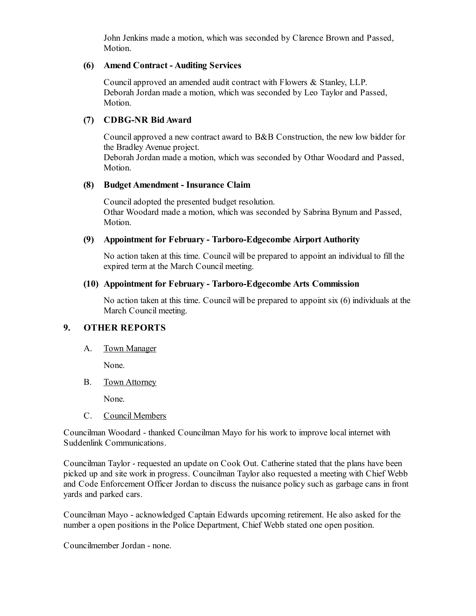John Jenkins made a motion, which was seconded by Clarence Brown and Passed, Motion.

#### **(6) Amend Contract - Auditing Services**

Councilapproved an amended audit contract with Flowers & Stanley, LLP. Deborah Jordan made a motion, which was seconded by Leo Taylor and Passed, Motion.

## **(7) CDBG-NR BidAward**

Councilapproved a new contract award to B&B Construction, the new low bidder for the Bradley Avenue project.

Deborah Jordan made a motion, which was seconded by Othar Woodard and Passed, Motion.

### **(8) Budget Amendment - Insurance Claim**

Counciladopted the presented budget resolution. Othar Woodard made a motion, which was seconded by Sabrina Bynum and Passed, Motion.

### **(9) Appointment for February - Tarboro-Edgecombe Airport Authority**

No action taken at this time. Council will be prepared to appoint an individual to fill the expired term at the March Council meeting.

### **(10) Appointment for February - Tarboro-Edgecombe Arts Commission**

No action taken at this time. Council will be prepared to appoint six (6) individuals at the March Council meeting.

## **9. OTHER REPORTS**

A. Town Manager

None.

B. Town Attorney

None.

C. Council Members

Councilman Woodard - thanked Councilman Mayo for his work to improve local internet with Suddenlink Communications.

Councilman Taylor - requested an update on Cook Out. Catherine stated that the plans have been picked up and site work in progress. Councilman Taylor also requested a meeting with Chief Webb and Code Enforcement Officer Jordan to discuss the nuisance policy such as garbage cans in front yards and parked cars.

Councilman Mayo - acknowledged Captain Edwards upcoming retirement. He also asked for the number a open positions in the Police Department, Chief Webb stated one open position.

Councilmember Jordan - none.